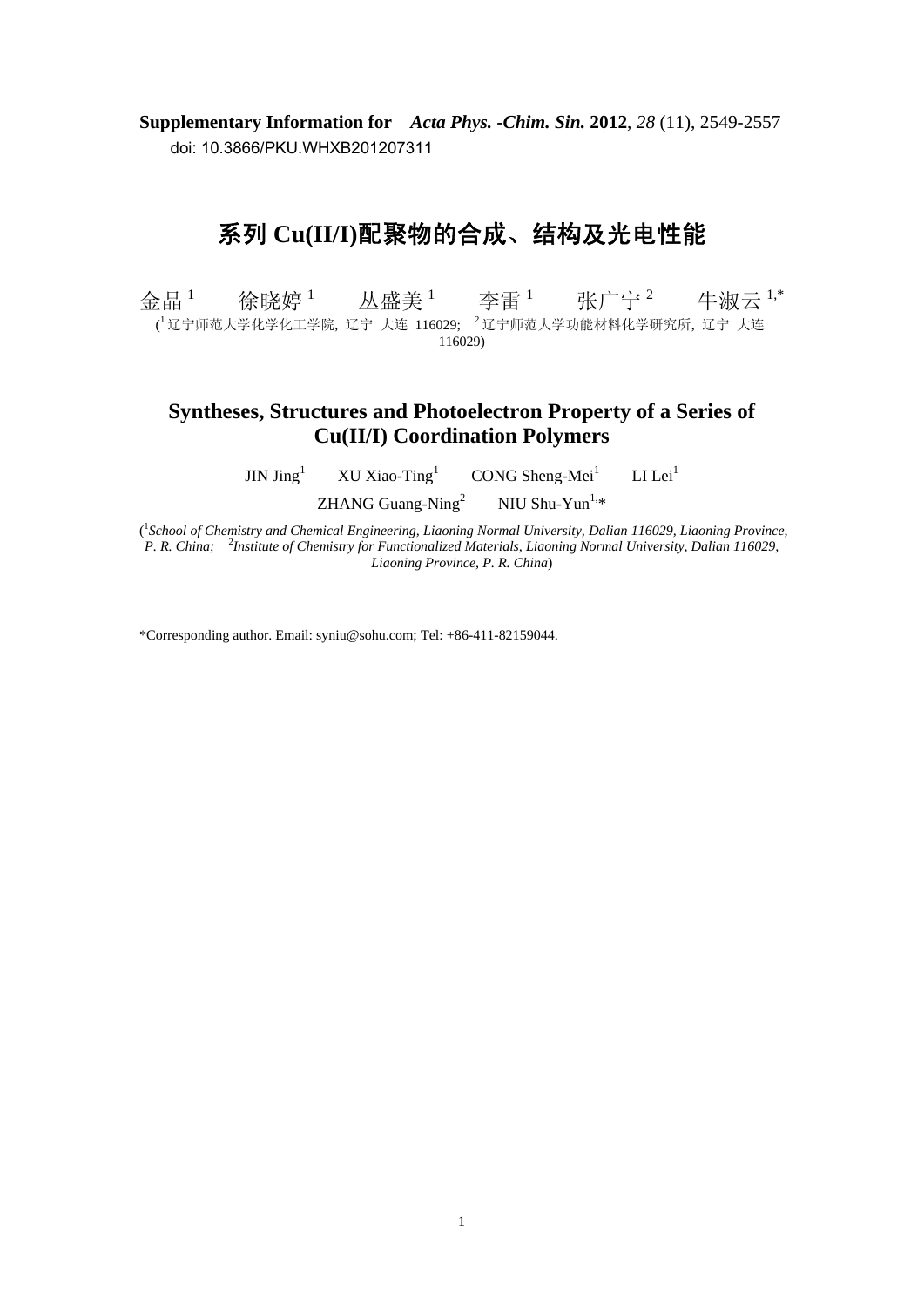**Supplementary Information for** *Acta Phys. -Chim. Sin.* **2012**, *28* (11), 2549-2557 doi: 10.3866/PKU.WHXB201207311

## 系列 **Cu(II/I)**配聚物的合成、结构及光电性能

金晶 $1$ 徐晓婷 $^{-1}$  丛盛美 $^{-1}$ 李雷  $^1$  张广宁  $^2$  牛淑云  $^{1,\ast}$ ( <sup>1</sup> 辽宁师范大学化学化工学院, 辽宁 大连 116029; <sup>2</sup> 辽宁师范大学功能材料化学研究所, 辽宁 大连 116029)

## **Syntheses, Structures and Photoelectron Property of a Series of Cu(II/I) Coordination Polymers**

 $JIN$  Jing<sup>1</sup> XU Xiao-Ting<sup>1</sup> CONG Sheng-Mei<sup>1</sup>  $LI$  Lei<sup>1</sup>

> ZHANG Guang-Ning<sup>2</sup> NIU Shu-Yun $1, *$

<sup>1</sup> School of Chemistry and Chemical Engineering, Liaoning Normal University, Dalian 116029, Liaoning Province, P. R. China; <sup>2</sup>Institute of Chemistry for Functionalized Materials, Liaoning Normal University, Dalian 116029, *Liaoning Province, P. R. China*)

\*Corresponding author. Email: syniu@sohu.com; Tel: +86-411-82159044.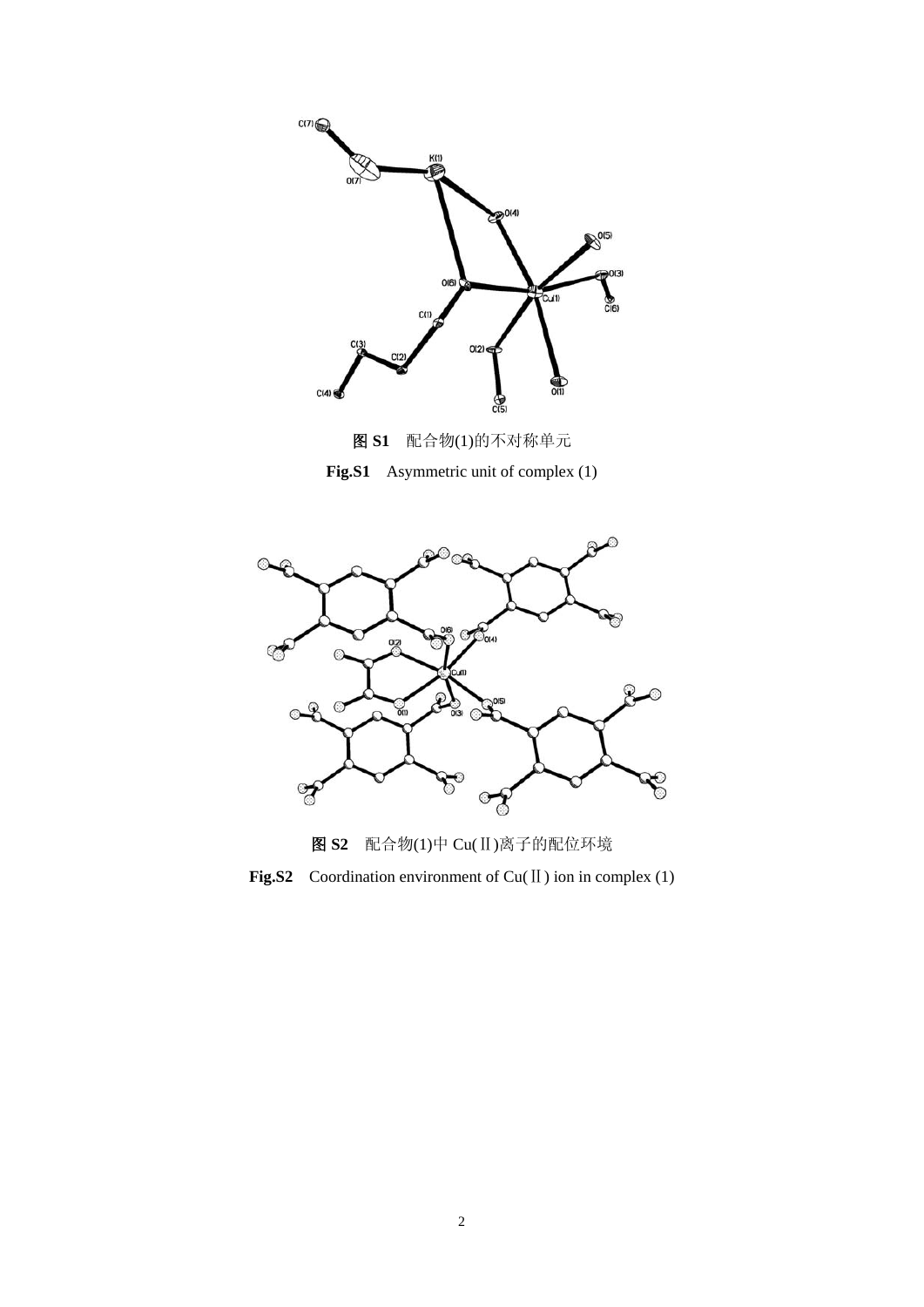

图 **S1** 配合物(1)的不对称单元 **Fig.S1** Asymmetric unit of complex (1)



图 **S2** 配合物(1)中 Cu(Ⅱ)离子的配位环境

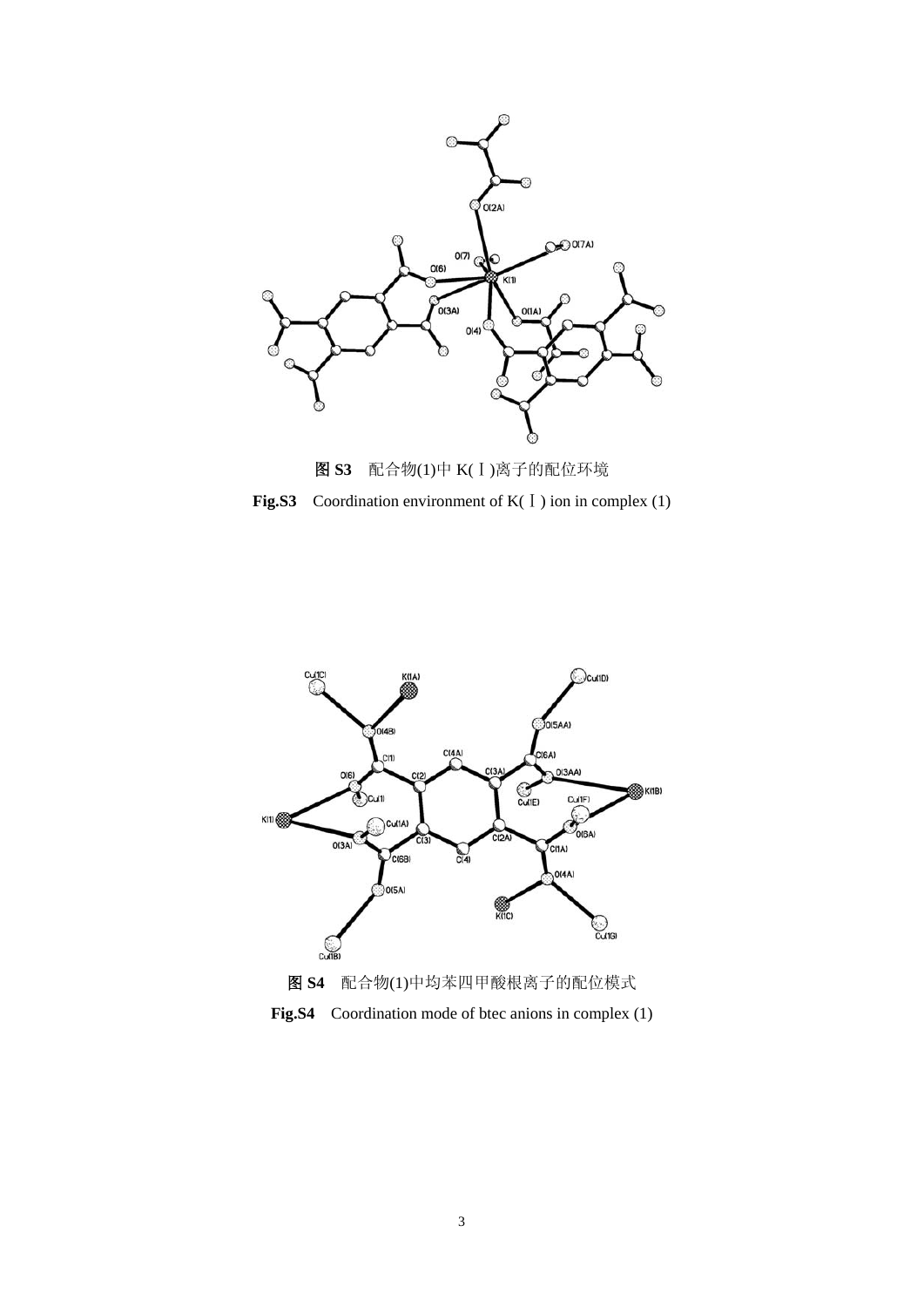



**Fig.S3** Coordination environment of K(Ⅰ) ion in complex (1)



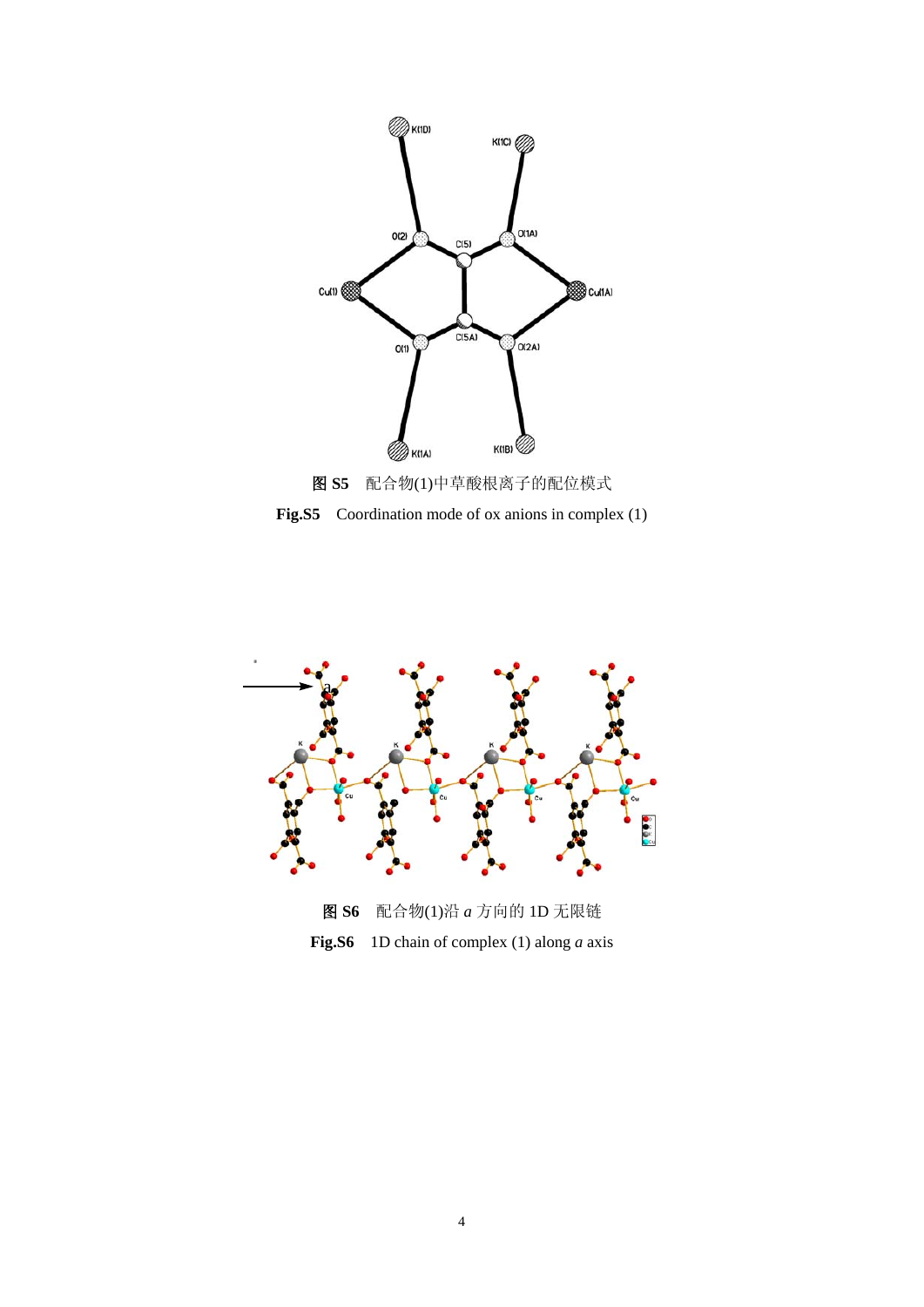

**Fig.S5** Coordination mode of ox anions in complex (1)

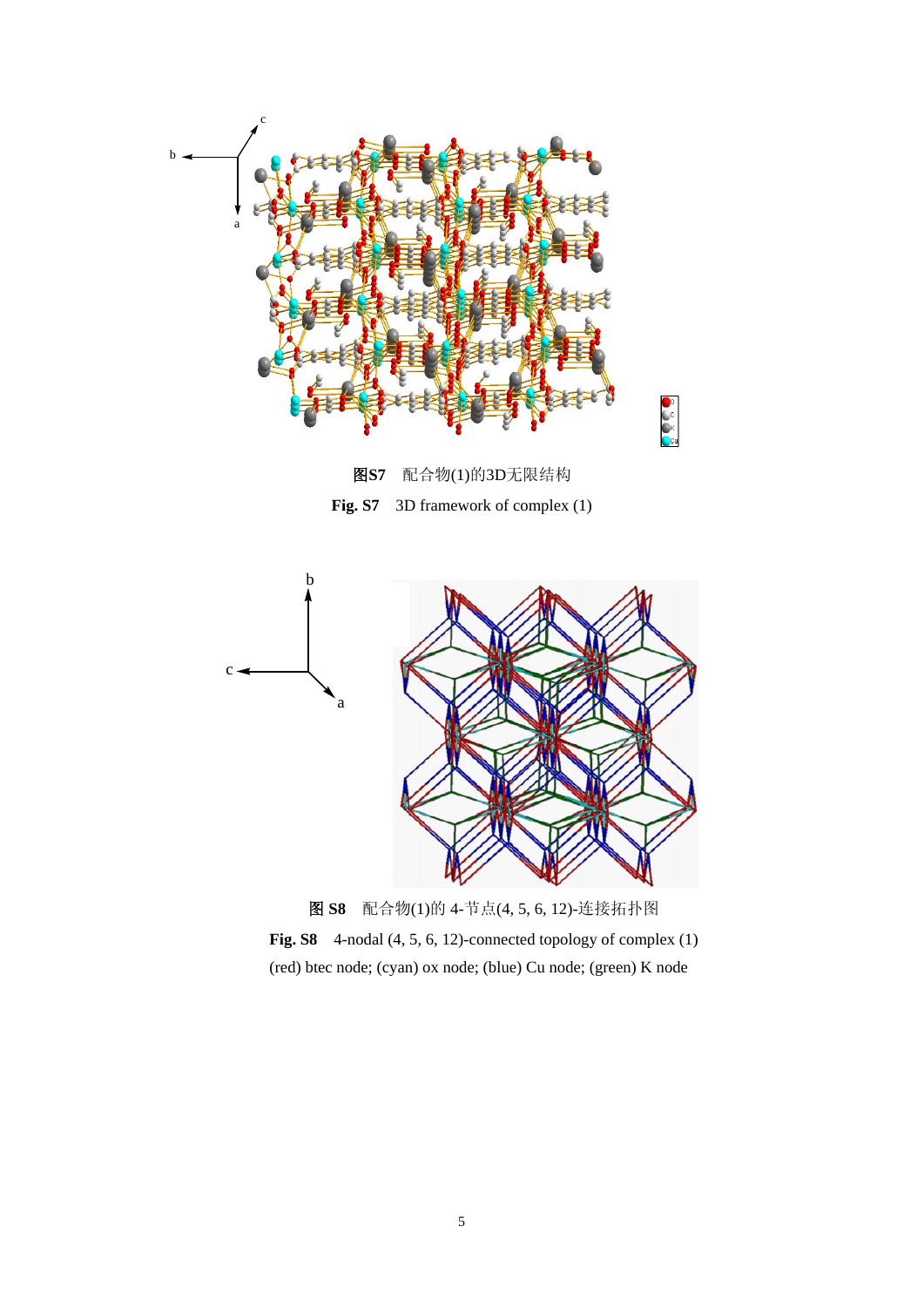

图**S7** 配合物(1)的3D无限结构 **Fig. S7** 3D framework of complex (1)



图 **S8** 配合物(1)的 4-节点(4, 5, 6, 12)-连接拓扑图

**Fig. S8** 4-nodal (4, 5, 6, 12)-connected topology of complex (1) (red) btec node; (cyan) ox node; (blue) Cu node; (green) K node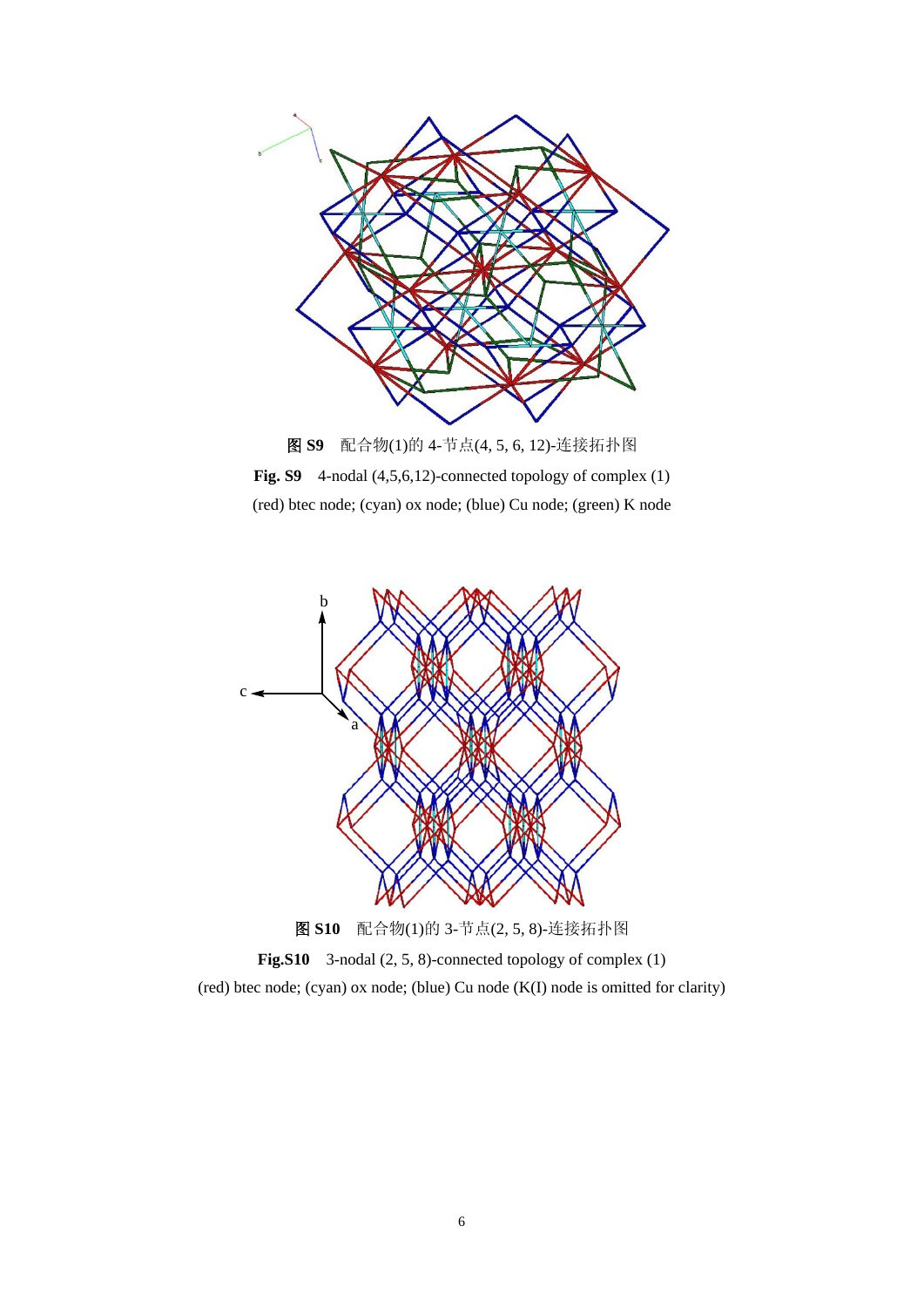

**Fig. S9** 4-nodal (4,5,6,12)-connected topology of complex (1) (red) btec node; (cyan) ox node; (blue) Cu node; (green) K node



**Fig.S10** 3-nodal (2, 5, 8)-connected topology of complex (1) (red) btec node; (cyan) ox node; (blue) Cu node (K(I) node is omitted for clarity)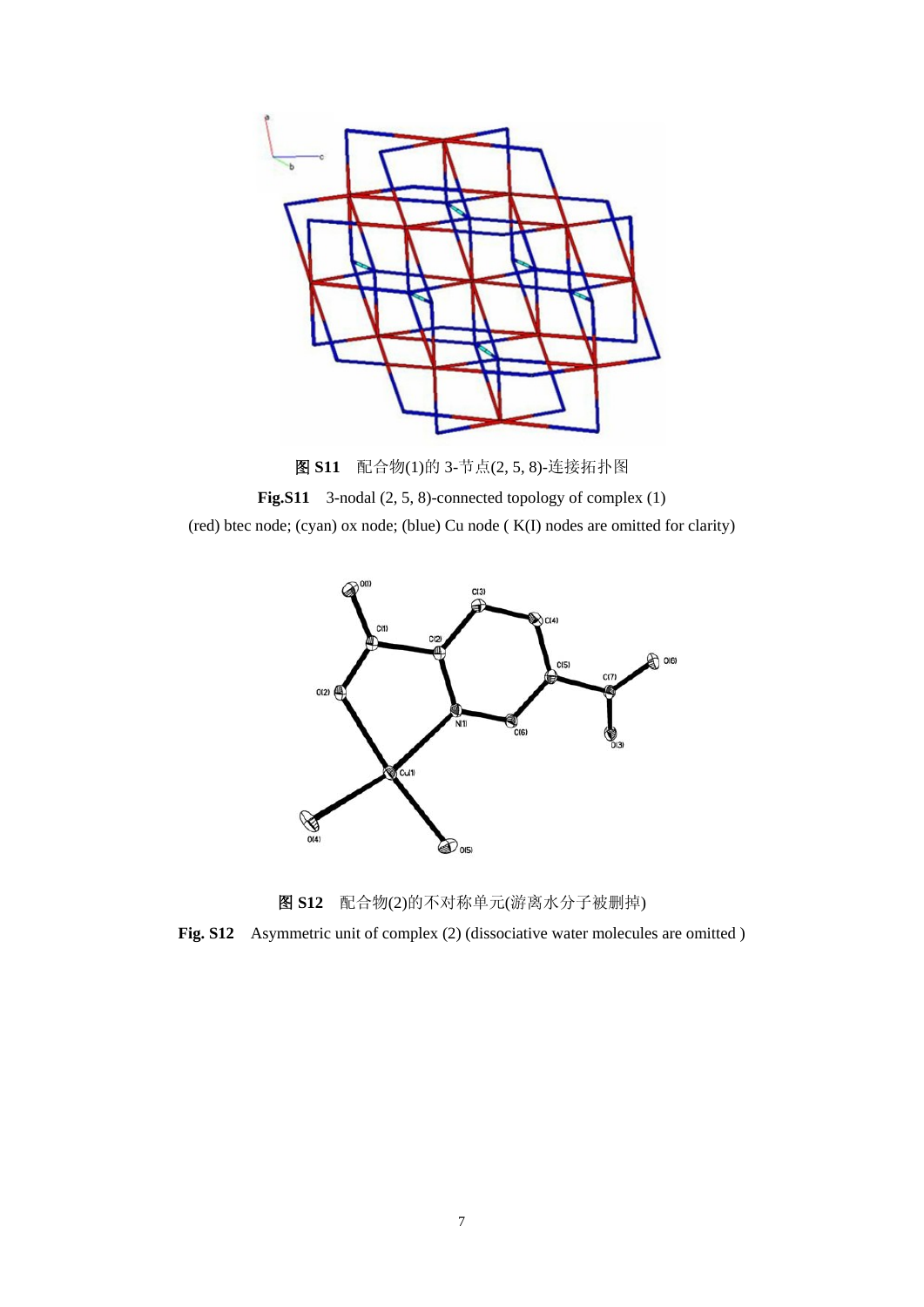

图 **S11** 配合物(1)的 3-节点(2, 5, 8)-连接拓扑图 **Fig.S11** 3-nodal (2, 5, 8)-connected topology of complex (1) (red) btec node; (cyan) ox node; (blue) Cu node ( K(I) nodes are omitted for clarity)



图 **S12** 配合物(2)的不对称单元(游离水分子被删掉)

**Fig. S12** Asymmetric unit of complex (2) (dissociative water molecules are omitted )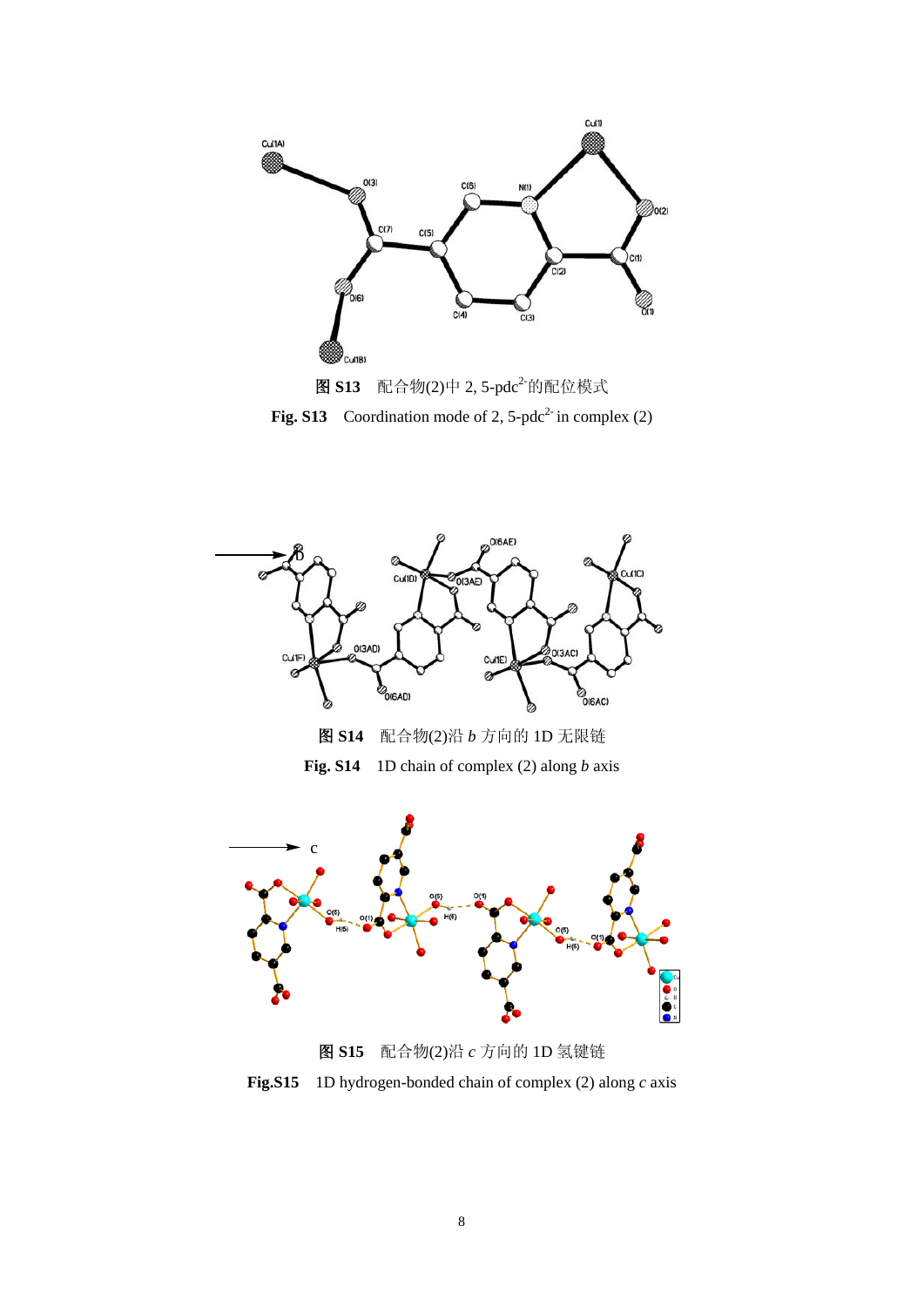









图 **S15** 配合物(2)沿 *c* 方向的 1D 氢键链

**Fig.S15** 1D hydrogen-bonded chain of complex (2) along *c* axis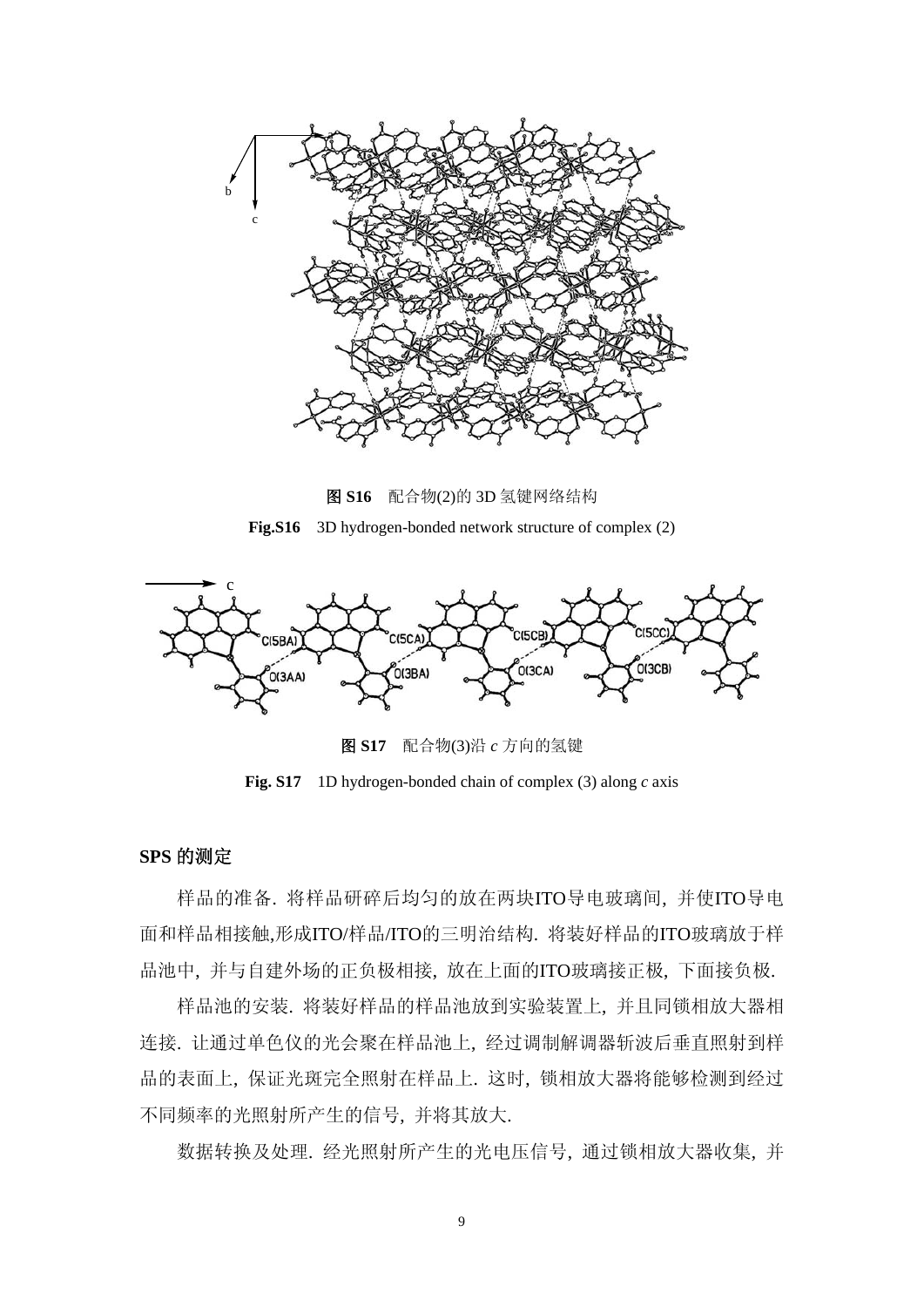

图 **S16** 配合物(2)的 3D 氢键网络结构 **Fig.S16** 3D hydrogen-bonded network structure of complex (2)



图 **S17** 配合物(3)沿 *c* 方向的氢键

**Fig. S17** 1D hydrogen-bonded chain of complex (3) along *c* axis

## **SPS** 的测定

样品的准备. 将样品研碎后均匀的放在两块ITO导电玻璃间, 并使ITO导电 面和样品相接触,形成ITO/样品/ITO的三明治结构. 将装好样品的ITO玻璃放于样 品池中, 并与自建外场的正负极相接, 放在上面的ITO玻璃接正极, 下面接负极.

样品池的安装. 将装好样品的样品池放到实验装置上, 并且同锁相放大器相 连接. 让通过单色仪的光会聚在样品池上, 经过调制解调器斩波后垂直照射到样 品的表面上, 保证光斑完全照射在样品上. 这时, 锁相放大器将能够检测到经过 不同频率的光照射所产生的信号, 并将其放大.

数据转换及处理. 经光照射所产生的光电压信号, 通过锁相放大器收集, 并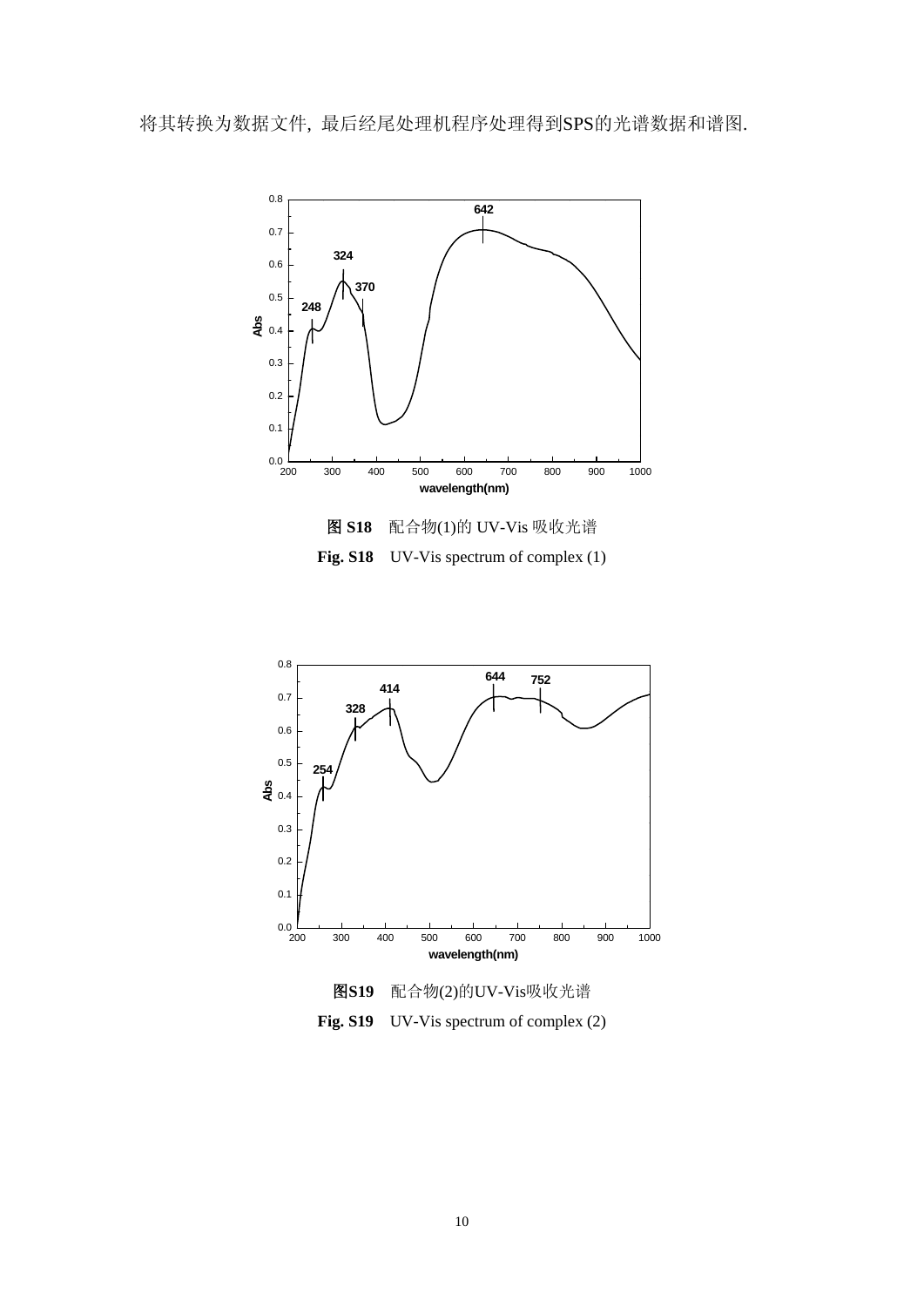将其转换为数据文件, 最后经尾处理机程序处理得到SPS的光谱数据和谱图.



**Fig. S18** UV-Vis spectrum of complex (1)





Fig. S19 UV-Vis spectrum of complex (2)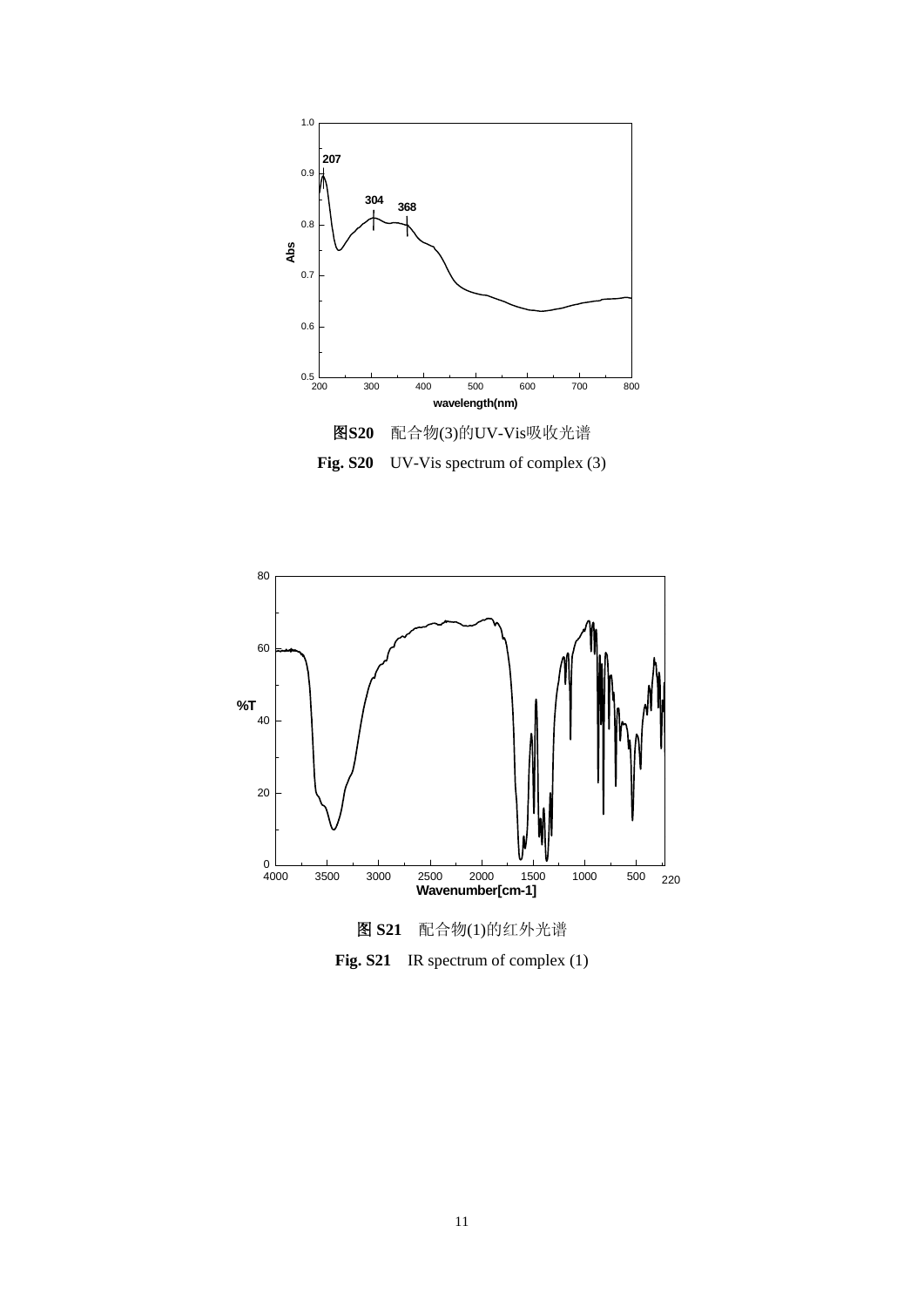